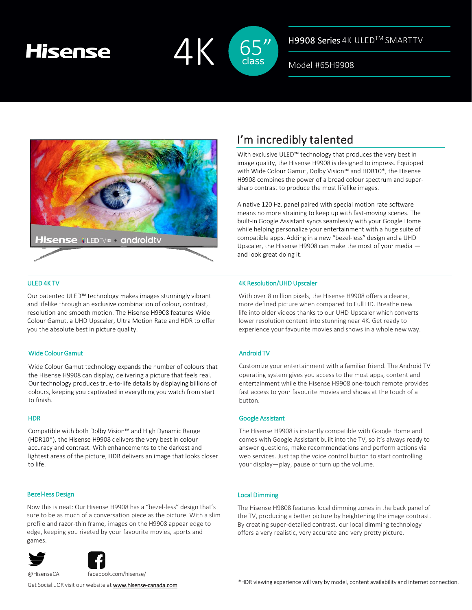# **Hisense**



H9908 Series 4K ULED™ SMARTTV

Model #65H9908



## ULED 4K TV

Our patented ULED™ technology makes images stunningly vibrant and lifelike through an exclusive combination of colour, contrast, resolution and smooth motion. The Hisense H9908 features Wide Colour Gamut, a UHD Upscaler, Ultra Motion Rate and HDR to offer you the absolute best in picture quality.

### Wide Colour Gamut

Wide Colour Gamut technology expands the number of colours that the Hisense H9908 can display, delivering a picture that feels real. Our technology produces true-to-life details by displaying billions of colours, keeping you captivated in everything you watch from start to finish.

### **HDR**

Compatible with both Dolby Vision™ and High Dynamic Range (HDR10\*), the Hisense H9908 delivers the very best in colour accuracy and contrast. With enhancements to the darkest and lightest areas of the picture, HDR delivers an image that looks closer to life.

### Bezel-less Design

Now this is neat: Our Hisense H9908 has a "bezel-less" design that's sure to be as much of a conversation piece as the picture. With a slim profile and razor-thin frame, images on the H9908 appear edge to edge, keeping you riveted by your favourite movies, sports and games.





@HisenseCA facebook.com/hisense/

I'm incredibly talented

With exclusive ULED™ technology that produces the very best in image quality, the Hisense H9908 is designed to impress. Equipped with Wide Colour Gamut, Dolby Vision™ and HDR10\*, the Hisense H9908 combines the power of a broad colour spectrum and supersharp contrast to produce the most lifelike images.

A native 120 Hz. panel paired with special motion rate software means no more straining to keep up with fast-moving scenes. The built-in Google Assistant syncs seamlessly with your Google Home while helping personalize your entertainment with a huge suite of compatible apps. Adding in a new "bezel-less" design and a UHD Upscaler, the Hisense H9908 can make the most of your media and look great doing it.

#### 4K Resolution/UHD Upscaler

With over 8 million pixels, the Hisense H9908 offers a clearer, more defined picture when compared to Full HD. Breathe new life into older videos thanks to our UHD Upscaler which converts lower resolution content into stunning near 4K. Get ready to experience your favourite movies and shows in a whole new way.

### Android TV

Customize your entertainment with a familiar friend. The Android TV operating system gives you access to the most apps, content and entertainment while the Hisense H9908 one-touch remote provides fast access to your favourite movies and shows at the touch of a button.

#### Google Assistant

The Hisense H9908 is instantly compatible with Google Home and comes with Google Assistant built into the TV, so it's always ready to answer questions, make recommendations and perform actions via web services. Just tap the voice control button to start controlling your display—play, pause or turn up the volume.

### Local Dimming

The Hisense H9808 features local dimming zones in the back panel of the TV, producing a better picture by heightening the image contrast. By creating super-detailed contrast, our local dimming technology offers a very realistic, very accurate and very pretty picture.